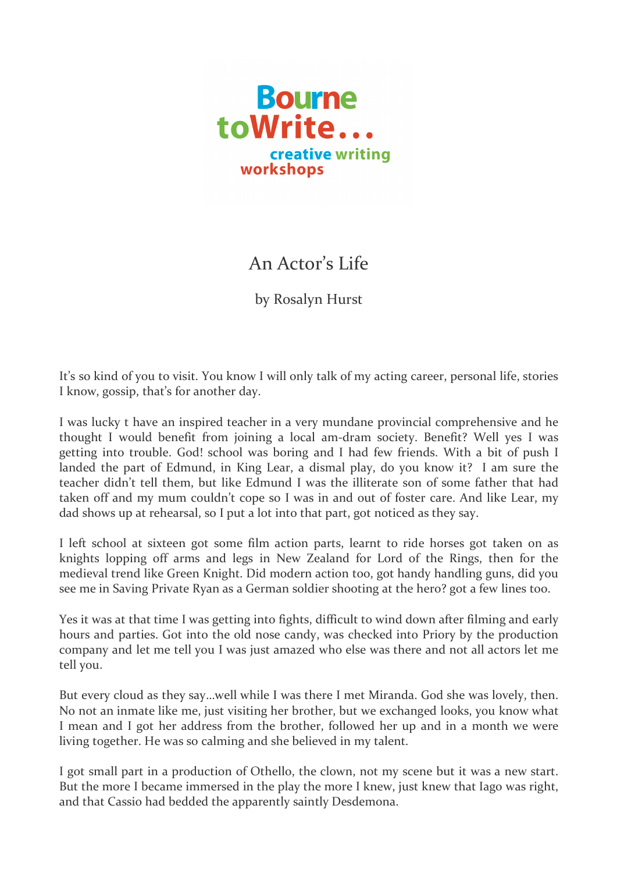

## An Actor' s Life

by Rosalyn Hurst

It's so kind of you to visit. You know I will only talk of my acting career, personal life, stories I know, gossip, that's for another day.

I was lucky t have an inspired teacher in a very mundane provincial comprehensive and he thought I would benefit from joining a local am-dram society. Benefit? Well yes I was getting into trouble. God! school was boring and I had few friends. With a bit of push I landed the part of Edmund, in King Lear, a dismal play, do you know it? I am sure the teacher didn't tell them, but like Edmund I was the illiterate son of some father that had taken off and my mum couldn't cope so I was in and out of foster care. And like Lear, my dad shows up at rehearsal, so I put a lot into that part, got noticed as they say.

I left school at sixteen got some film action parts, learnt to ride horses got taken on as knights lopping off arms and legs in New Zealand for Lord of the Rings, then for the medieval trend like Green Knight. Did modern action too, got handy handling guns, did you see me in Saving Private Ryan as a German soldier shooting at the hero? got a few lines too.

Yes it was at that time I was getting into fights, difficult to wind down after filming and early hours and parties. Got into the old nose candy, was checked into Priory by the production company and let me tell you I was just amazed who else was there and not all actors let me tell you.

But every cloud as they say…well while I was there I met Miranda. God she was lovely, then. No not an inmate like me, just visiting her brother, but we exchanged looks, you know what I mean and I got her address from the brother, followed her up and in a month we were living together. He was so calming and she believed in my talent.

I got small part in a production of Othello, the clown, not my scene but it was a new start. But the more I became immersed in the play the more I knew, just knew that Iago was right, and that Cassio had bedded the apparently saintly Desdemona.